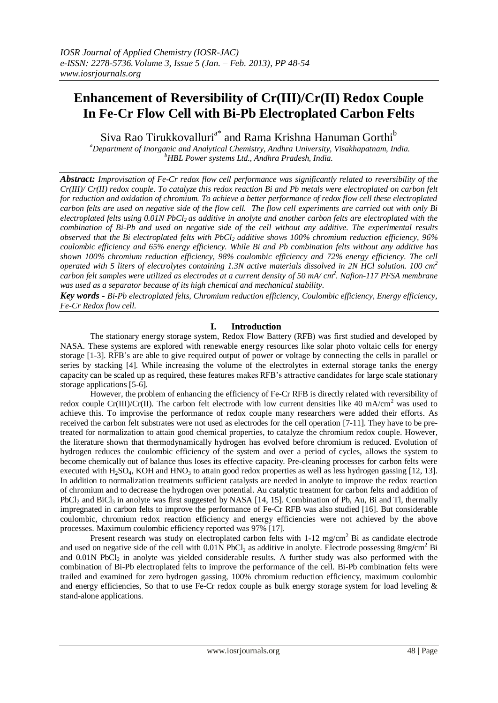# **Enhancement of Reversibility of Cr(III)/Cr(II) Redox Couple In Fe-Cr Flow Cell with Bi-Pb Electroplated Carbon Felts**

Siva Rao Tirukkovalluri<sup>a\*</sup> and Rama Krishna Hanuman Gorthi<sup>b</sup>

*<sup>a</sup>Department of Inorganic and Analytical Chemistry, Andhra University, Visakhapatnam, India. <sup>b</sup>HBL Power systems Ltd., Andhra Pradesh, India.*

*Abstract: Improvisation of Fe-Cr redox flow cell performance was significantly related to reversibility of the Cr(III)/ Cr(II) redox couple. To catalyze this redox reaction Bi and Pb metals were electroplated on carbon felt for reduction and oxidation of chromium. To achieve a better performance of redox flow cell these electroplated carbon felts are used on negative side of the flow cell. The flow cell experiments are carried out with only Bi electroplated felts using 0.01N PbCl<sup>2</sup> as additive in anolyte and another carbon felts are electroplated with the combination of Bi-Pb and used on negative side of the cell without any additive. The experimental results observed that the Bi electroplated felts with PbCl2 additive shows 100% chromium reduction efficiency, 96% coulombic efficiency and 65% energy efficiency. While Bi and Pb combination felts without any additive has shown 100% chromium reduction efficiency, 98% coulombic efficiency and 72% energy efficiency. The cell operated with 5 liters of electrolytes containing 1.3N active materials dissolved in 2N HCl solution. 100 cm<sup>2</sup> carbon felt samples were utilized as electrodes at a current density of 50 mA/ cm 2 . Nafion-117 PFSA membrane was used as a separator because of its high chemical and mechanical stability.*

*Key words - Bi-Pb electroplated felts, Chromium reduction efficiency, Coulombic efficiency, Energy efficiency, Fe-Cr Redox flow cell.*

## **I. Introduction**

The stationary energy storage system, Redox Flow Battery (RFB) was first studied and developed by NASA. These systems are explored with renewable energy resources like solar photo voltaic cells for energy storage [1-3]. RFB's are able to give required output of power or voltage by connecting the cells in parallel or series by stacking [4]. While increasing the volume of the electrolytes in external storage tanks the energy capacity can be scaled up as required, these features makes RFB's attractive candidates for large scale stationary storage applications [5-6].

However, the problem of enhancing the efficiency of Fe-Cr RFB is directly related with reversibility of redox couple Cr(III)/Cr(II). The carbon felt electrode with low current densities like 40 mA/cm<sup>2</sup> was used to achieve this. To improvise the performance of redox couple many researchers were added their efforts. As received the carbon felt substrates were not used as electrodes for the cell operation [7-11]. They have to be pretreated for normalization to attain good chemical properties, to catalyze the chromium redox couple. However, the literature shown that thermodynamically hydrogen has evolved before chromium is reduced. Evolution of hydrogen reduces the coulombic efficiency of the system and over a period of cycles, allows the system to become chemically out of balance thus loses its effective capacity. Pre-cleaning processes for carbon felts were executed with  $H_2SO_4$ , KOH and HNO<sub>3</sub> to attain good redox properties as well as less hydrogen gassing [12, 13]. In addition to normalization treatments sufficient catalysts are needed in anolyte to improve the redox reaction of chromium and to decrease the hydrogen over potential. Au catalytic treatment for carbon felts and addition of PbCl<sub>2</sub> and BiCl<sub>3</sub> in anolyte was first suggested by NASA [14, 15]. Combination of Pb, Au, Bi and Tl, thermally impregnated in carbon felts to improve the performance of Fe-Cr RFB was also studied [16]. But considerable coulombic, chromium redox reaction efficiency and energy efficiencies were not achieved by the above processes. Maximum coulombic efficiency reported was 97% [17].

Present research was study on electroplated carbon felts with  $1-12$  mg/cm<sup>2</sup> Bi as candidate electrode and used on negative side of the cell with  $0.01N$  PbCl<sub>2</sub> as additive in anolyte. Electrode possessing 8mg/cm<sup>2</sup> Bi and 0.01N PbCl<sub>2</sub> in anolyte was yielded considerable results. A further study was also performed with the combination of Bi-Pb electroplated felts to improve the performance of the cell. Bi-Pb combination felts were trailed and examined for zero hydrogen gassing, 100% chromium reduction efficiency, maximum coulombic and energy efficiencies, So that to use Fe-Cr redox couple as bulk energy storage system for load leveling & stand-alone applications.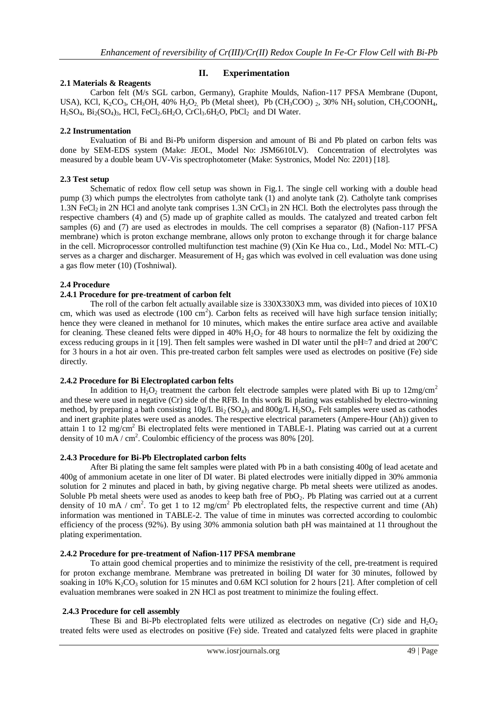## **2.1 Materials & Reagents**

#### **II. Experimentation**

Carbon felt (M/s SGL carbon, Germany), Graphite Moulds, Nafion-117 PFSA Membrane (Dupont, USA), KCl, K<sub>2</sub>CO<sub>3</sub>, CH<sub>3</sub>OH, 40% H<sub>2</sub>O<sub>2</sub>, Pb (Metal sheet), Pb (CH<sub>3</sub>COO) 2, 30% NH<sub>3</sub> solution, CH<sub>3</sub>COONH<sub>4</sub>,  $H<sub>2</sub>SO<sub>4</sub>, Bi<sub>2</sub>(SO<sub>4</sub>)<sub>3</sub>, HCl, FeCl<sub>2</sub>.6H<sub>2</sub>O, CrCl<sub>3</sub>.6H<sub>2</sub>O, PbCl<sub>2</sub> and DI Water.$ 

#### **2.2 Instrumentation**

Evaluation of Bi and Bi-Pb uniform dispersion and amount of Bi and Pb plated on carbon felts was done by SEM-EDS system (Make: JEOL, Model No: JSM6610LV). Concentration of electrolytes was measured by a double beam UV-Vis spectrophotometer (Make: Systronics, Model No: 2201) [18].

#### **2.3 Test setup**

Schematic of redox flow cell setup was shown in Fig.1. The single cell working with a double head pump (3) which pumps the electrolytes from catholyte tank (1) and anolyte tank (2). Catholyte tank comprises 1.3N FeCl<sub>2</sub> in 2N HCl and anolyte tank comprises 1.3N CrCl<sub>3</sub> in 2N HCl. Both the electrolytes pass through the respective chambers (4) and (5) made up of graphite called as moulds. The catalyzed and treated carbon felt samples (6) and (7) are used as electrodes in moulds. The cell comprises a separator (8) (Nafion-117 PFSA membrane) which is proton exchange membrane, allows only proton to exchange through it for charge balance in the cell. Microprocessor controlled multifunction test machine (9) (Xin Ke Hua co., Ltd., Model No: MTL-C) serves as a charger and discharger. Measurement of  $H<sub>2</sub>$  gas which was evolved in cell evaluation was done using a gas flow meter (10) (Toshniwal).

#### **2.4 Procedure**

#### **2.4.1 Procedure for pre-treatment of carbon felt**

The roll of the carbon felt actually available size is 330X330X3 mm, was divided into pieces of 10X10 cm, which was used as electrode  $(100 \text{ cm}^2)$ . Carbon felts as received will have high surface tension initially; hence they were cleaned in methanol for 10 minutes, which makes the entire surface area active and available for cleaning. These cleaned felts were dipped in  $40\%$  H<sub>2</sub>O<sub>2</sub> for 48 hours to normalize the felt by oxidizing the excess reducing groups in it [19]. Then felt samples were washed in DI water until the pH≈7 and dried at  $200^{\circ}$ C for 3 hours in a hot air oven. This pre-treated carbon felt samples were used as electrodes on positive (Fe) side directly.

#### **2.4.2 Procedure for Bi Electroplated carbon felts**

In addition to H<sub>2</sub>O<sub>2</sub> treatment the carbon felt electrode samples were plated with Bi up to  $12mg/cm^2$ and these were used in negative (Cr) side of the RFB. In this work Bi plating was established by electro-winning method, by preparing a bath consisting  $10g/L$  Bi<sub>2</sub> (SO<sub>4</sub>)<sub>3</sub> and 800g/L H<sub>2</sub>SO<sub>4</sub>. Felt samples were used as cathodes and inert graphite plates were used as anodes. The respective electrical parameters (Ampere-Hour (Ah)) given to attain 1 to 12 mg/cm<sup>2</sup> Bi electroplated felts were mentioned in TABLE-1. Plating was carried out at a current density of 10 mA / cm<sup>2</sup>. Coulombic efficiency of the process was 80% [20].

#### **2.4.3 Procedure for Bi-Pb Electroplated carbon felts**

After Bi plating the same felt samples were plated with Pb in a bath consisting 400g of lead acetate and 400g of ammonium acetate in one liter of DI water. Bi plated electrodes were initially dipped in 30% ammonia solution for 2 minutes and placed in bath, by giving negative charge. Pb metal sheets were utilized as anodes. Soluble Pb metal sheets were used as anodes to keep bath free of PbO<sub>2</sub>. Pb Plating was carried out at a current density of 10 mA / cm<sup>2</sup>. To get 1 to 12 mg/cm<sup>2</sup> Pb electroplated felts, the respective current and time (Ah) information was mentioned in TABLE-2. The value of time in minutes was corrected according to coulombic efficiency of the process (92%). By using 30% ammonia solution bath pH was maintained at 11 throughout the plating experimentation.

#### **2.4.2 Procedure for pre-treatment of Nafion-117 PFSA membrane**

To attain good chemical properties and to minimize the resistivity of the cell, pre-treatment is required for proton exchange membrane. Membrane was pretreated in boiling DI water for 30 minutes, followed by soaking in 10% K<sub>2</sub>CO<sub>3</sub> solution for 15 minutes and 0.6M KCl solution for 2 hours [21]. After completion of cell evaluation membranes were soaked in 2N HCl as post treatment to minimize the fouling effect.

#### **2.4.3 Procedure for cell assembly**

These Bi and Bi-Pb electroplated felts were utilized as electrodes on negative  $(Cr)$  side and  $H_2O_2$ treated felts were used as electrodes on positive (Fe) side. Treated and catalyzed felts were placed in graphite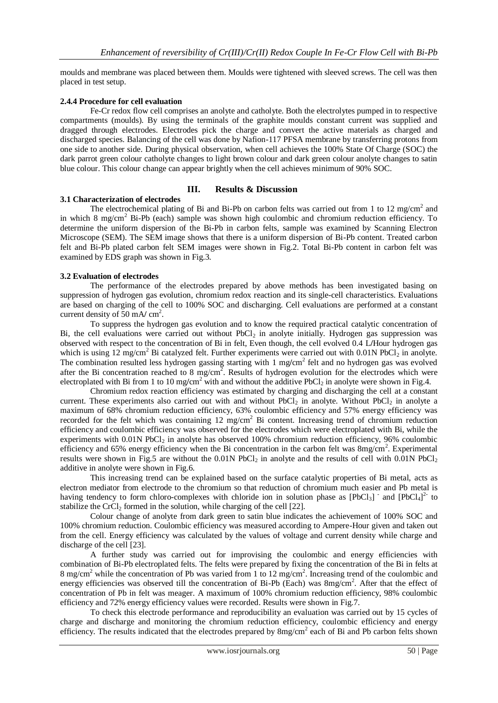moulds and membrane was placed between them. Moulds were tightened with sleeved screws. The cell was then placed in test setup.

### **2.4.4 Procedure for cell evaluation**

Fe-Cr redox flow cell comprises an anolyte and catholyte. Both the electrolytes pumped in to respective compartments (moulds). By using the terminals of the graphite moulds constant current was supplied and dragged through electrodes. Electrodes pick the charge and convert the active materials as charged and discharged species. Balancing of the cell was done by Nafion-117 PFSA membrane by transferring protons from one side to another side. During physical observation, when cell achieves the 100% State Of Charge (SOC) the dark parrot green colour catholyte changes to light brown colour and dark green colour anolyte changes to satin blue colour. This colour change can appear brightly when the cell achieves minimum of 90% SOC.

#### **III. Results & Discussion**

#### **3.1 Characterization of electrodes**

The electrochemical plating of Bi and Bi-Pb on carbon felts was carried out from 1 to 12 mg/cm<sup>2</sup> and in which 8 mg/cm<sup>2</sup> Bi-Pb (each) sample was shown high coulombic and chromium reduction efficiency. To determine the uniform dispersion of the Bi-Pb in carbon felts, sample was examined by Scanning Electron Microscope (SEM). The SEM image shows that there is a uniform dispersion of Bi-Pb content. Treated carbon felt and Bi-Pb plated carbon felt SEM images were shown in Fig.2. Total Bi-Pb content in carbon felt was examined by EDS graph was shown in Fig.3.

#### **3.2 Evaluation of electrodes**

The performance of the electrodes prepared by above methods has been investigated basing on suppression of hydrogen gas evolution, chromium redox reaction and its single-cell characteristics. Evaluations are based on charging of the cell to 100% SOC and discharging. Cell evaluations are performed at a constant current density of 50 mA/ cm<sup>2</sup>.

To suppress the hydrogen gas evolution and to know the required practical catalytic concentration of Bi, the cell evaluations were carried out without  $PbCl<sub>2</sub>$  in anolyte initially. Hydrogen gas suppression was observed with respect to the concentration of Bi in felt, Even though, the cell evolved 0.4 L**/**Hour hydrogen gas which is using  $12 \text{ mg/cm}^2$  Bi catalyzed felt. Further experiments were carried out with 0.01N PbCl<sub>2</sub> in anolyte. The combination resulted less hydrogen gassing starting with 1 mg/cm<sup>2</sup> felt and no hydrogen gas was evolved after the Bi concentration reached to 8 mg/cm<sup>2</sup>. Results of hydrogen evolution for the electrodes which were electroplated with Bi from 1 to 10 mg/cm<sup>2</sup> with and without the additive PbCl<sub>2</sub> in anolyte were shown in Fig.4.

Chromium redox reaction efficiency was estimated by charging and discharging the cell at a constant current. These experiments also carried out with and without PbCl<sub>2</sub> in anolyte. Without PbCl<sub>2</sub> in anolyte a maximum of 68% chromium reduction efficiency, 63% coulombic efficiency and 57% energy efficiency was recorded for the felt which was containing 12 mg/cm<sup>2</sup> Bi content. Increasing trend of chromium reduction efficiency and coulombic efficiency was observed for the electrodes which were electroplated with Bi, while the experiments with  $0.01N$  PbCl<sub>2</sub> in anolyte has observed 100% chromium reduction efficiency, 96% coulombic efficiency and 65% energy efficiency when the Bi concentration in the carbon felt was 8mg/cm<sup>2</sup>. Experimental results were shown in Fig.5 are without the  $0.01N$  PbCl<sub>2</sub> in anolyte and the results of cell with  $0.01N$  PbCl<sub>2</sub> additive in anolyte were shown in Fig.6.

This increasing trend can be explained based on the surface catalytic properties of Bi metal, acts as electron mediator from electrode to the chromium so that reduction of chromium much easier and Pb metal is having tendency to form chloro-complexes with chloride ion in solution phase as  $[PbCl_3]$  and  $[PbCl_4]^2$  to stabilize the CrCl<sub>2</sub> formed in the solution, while charging of the cell [22].

Colour change of anolyte from dark green to satin blue indicates the achievement of 100% SOC and 100% chromium reduction. Coulombic efficiency was measured according to Ampere-Hour given and taken out from the cell. Energy efficiency was calculated by the values of voltage and current density while charge and discharge of the cell [23].

A further study was carried out for improvising the coulombic and energy efficiencies with combination of Bi-Pb electroplated felts. The felts were prepared by fixing the concentration of the Bi in felts at 8 mg/cm<sup>2</sup> while the concentration of Pb was varied from 1 to 12 mg/cm<sup>2</sup>. Increasing trend of the coulombic and energy efficiencies was observed till the concentration of Bi-Pb (Each) was 8mg/cm<sup>2</sup>. After that the effect of concentration of Pb in felt was meager. A maximum of 100% chromium reduction efficiency, 98% coulombic efficiency and 72% energy efficiency values were recorded. Results were shown in Fig.7.

To check this electrode performance and reproducibility an evaluation was carried out by 15 cycles of charge and discharge and monitoring the chromium reduction efficiency, coulombic efficiency and energy efficiency. The results indicated that the electrodes prepared by 8mg/cm<sup>2</sup> each of Bi and Pb carbon felts shown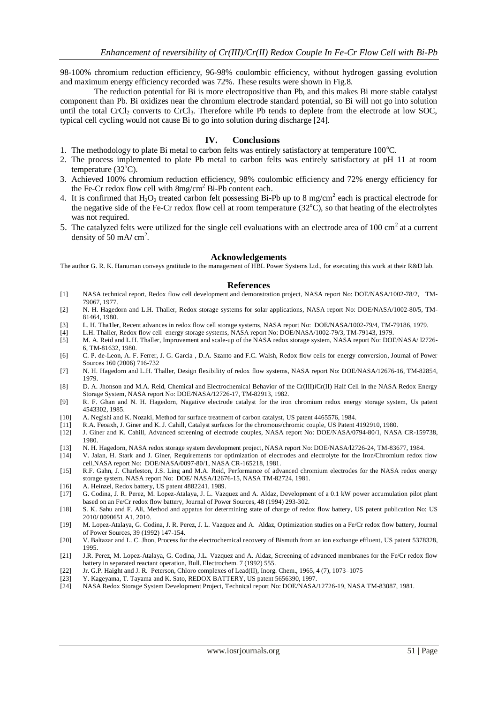98-100% chromium reduction efficiency, 96-98% coulombic efficiency, without hydrogen gassing evolution and maximum energy efficiency recorded was 72%. These results were shown in Fig.8.

 The reduction potential for Bi is more electropositive than Pb, and this makes Bi more stable catalyst component than Pb. Bi oxidizes near the chromium electrode standard potential, so Bi will not go into solution until the total CrCl<sub>2</sub> converts to CrCl<sub>3</sub>. Therefore while Pb tends to deplete from the electrode at low SOC, typical cell cycling would not cause Bi to go into solution during discharge [24].

#### **IV. Conclusions**

- 1. The methodology to plate Bi metal to carbon felts was entirely satisfactory at temperature  $100^{\circ}$ C.
- 2. The process implemented to plate Pb metal to carbon felts was entirely satisfactory at pH 11 at room temperature  $(32^{\circ}C)$ .
- 3. Achieved 100% chromium reduction efficiency, 98% coulombic efficiency and 72% energy efficiency for the Fe-Cr redox flow cell with  $8mg/cm^2$  Bi-Pb content each.
- 4. It is confirmed that  $H_2O_2$  treated carbon felt possessing Bi-Pb up to 8 mg/cm<sup>2</sup> each is practical electrode for the negative side of the Fe-Cr redox flow cell at room temperature  $(32^{\circ}\text{C})$ , so that heating of the electrolytes was not required.
- 5. The catalyzed felts were utilized for the single cell evaluations with an electrode area of 100 cm<sup>2</sup> at a current density of 50 mA/ cm<sup>2</sup>.

#### **Acknowledgements**

The author G. R. K. Hanuman conveys gratitude to the management of HBL Power Systems Ltd., for executing this work at their R&D lab.

#### **References**

- [1] NASA technical report, Redox flow cell development and demonstration project, NASA report No: DOE/NASA/1002-78/2, TM-79067, 1977.
- [2] N. H. Hagedorn and L.H. Thaller, Redox storage systems for solar applications, NASA report No: DOE/NASA/1002-80/5, TM-81464, 1980.
- [3] L. H. Tha1ler, Recent advances in redox flow cell storage systems, NASA report No: DOE/NASA/1002-79/4, TM-79186, 1979.
- [4] L.H. Thaller, Redox flow cell energy storage systems, NASA report No: DOE/NASA/1002-79/3, TM-79143, 1979.
- [5] M. A. Reid and L.H. Thaller, Improvement and scale-up of the NASA redox storage system, NASA report No: DOE/NASA/ l2726- 6, TM-81632, 1980.
- [6] C. P. de-Leon, A. F. Ferrer, J. G. Garcia , D.A. Szanto and F.C. Walsh, Redox flow cells for energy conversion, Journal of Power Sources 160 (2006) 716-732
- [7] N. H. Hagedorn and L.H. Thaller, Design flexibility of redox flow systems, NASA report No: DOE*/*NASA*/*12676-16, TM-82854, 1979.
- [8] D. A. Jhonson and M.A. Reid, Chemical and Electrochemical Behavior of the Cr(III)*l*Cr(II) Half Cell in the NASA Redox Energy Storage System, NASA report No: DOE*/*NASA*/*12726-17, TM-82913, 1982.
- [9] R. F. Ghan and N. H. Hagedorn, Nagative electrode catalyst for the iron chromium redox energy storage system, Us patent 4543302, 1985.
- [10] A. Negishi and K. Nozaki, Method for surface treatment of carbon catalyst, US patent 4465576, 1984.
- [11] R.A. Feoaxh, J. Giner and K. J. Cahill, Catalyst surfaces for the chromous/chromic couple, US Patent 4192910, 1980.
- [12] J. Giner and K. Cahill, Advanced screening of electrode couples, NASA report No: DOE/NASA/0794-80/1, NASA CR-159738, 1980.
- [13] N. H. Hagedorn, NASA redox storage system development project, NASA report No: DOE/NASA/l2726-24, TM-83677, 1984.
- [14] V. Jalan, H. Stark and J. Giner, Requirements for optimization of electrodes and electrolyte for the Iron/Chromium redox flow cell,NASA report No: DOE/NASA/0097-80/1, NASA CR-165218, 1981.
- [15] R.F. Gahn, J. Charleston, J.S. Ling and M.A. Reid, Performance of advanced chromium electrodes for the NASA redox energy storage system, NASA report No: DOE/ NASA/12676-15, NASA TM-82724, 1981.
- [16] A. Heinzel, Redox battery, US patent 4882241, 1989.
- [17] G. Codina, J. R. Perez, M. Lopez-Atalaya, J. L. Vazquez and A. Aldaz, Development of a 0.1 kW power accumulation pilot plant based on an Fe/Cr redox flow battery, Journal of Power Sources, 48 (1994) 293-302.
- [18] S. K. Sahu and F. Ali, Method and appatus for determining state of charge of redox flow battery, US patent publication No: US 2010**/** 0090651 A1, 2010.
- [19] M. Lopez-Atalaya, G. Codina, J. R. Perez, J. L. Vazquez and A. Aldaz, Optimization studies on a Fe/Cr redox flow battery, Journal of Power Sources, 39 (1992) 147-154.
- [20] V. Baltazar and L. C. Jhon, Process for the electrochemical recovery of Bismuth from an ion exchange effluent, US patent 5378328, 1995.
- [21] J.R. Perez, M. Lopez-Atalaya, G. Codina, J.L. Vazquez and A. Aldaz, Screening of advanced membranes for the Fe/Cr redox flow battery in separated reactant operation, Bull. Electrochem. 7 (1992) 555.
- [22] [Jr. G.P. Haight](http://pubs.acs.org/action/doSearch?action=search&author=Haight%2C+G.+P.&qsSearchArea=author) and J. R. Peterson, Chloro complexes of Lead(II), Inorg. Chem., 1965, 4 (7), 1073–1075
- [23] Y. Kageyama, T. Tayama and K. Sato, REDOX BATTERY, US patent 5656390, 1997.
- [24] NASA Redox Storage System Development Project, Technical report No: DOE/NASA/12726-19, NASA TM-83087, 1981.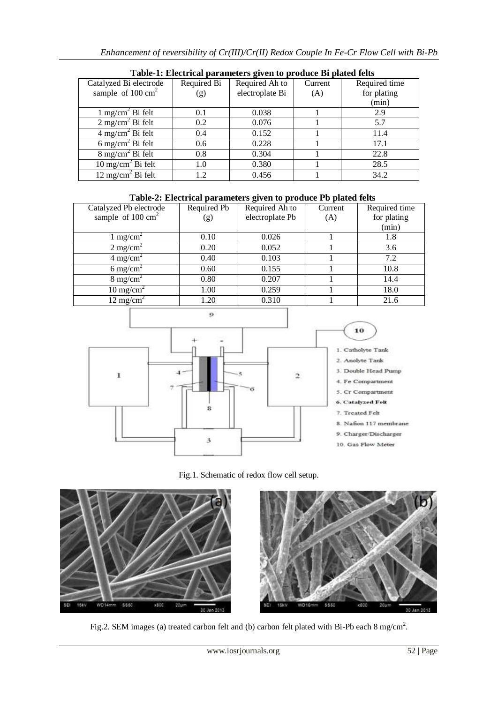| Tuble 1. Encentrum purumeters green to prouded by putted feno |             |                 |         |               |  |  |  |
|---------------------------------------------------------------|-------------|-----------------|---------|---------------|--|--|--|
| Catalyzed Bi electrode                                        | Required Bi | Required Ah to  | Current | Required time |  |  |  |
| sample of $100 \text{ cm}^2$                                  | (g)         | electroplate Bi | (A)     | for plating   |  |  |  |
|                                                               |             |                 |         | (min)         |  |  |  |
| $1 \text{ mg/cm}^2$ Bi felt                                   | 0.1         | 0.038           |         | 2.9           |  |  |  |
| $2 \text{ mg/cm}^2$ Bi felt                                   | 0.2         | 0.076           |         | 5.7           |  |  |  |
| $4 \text{ mg/cm}^2$ Bi felt                                   | 0.4         | 0.152           |         | 11.4          |  |  |  |
| 6 mg/cm <sup>2</sup> Bi felt                                  | 0.6         | 0.228           |         | 17.1          |  |  |  |
| $8 \text{ mg/cm}^2$ Bi felt                                   | 0.8         | 0.304           |         | 22.8          |  |  |  |
| $10 \text{ mg/cm}^2$ Bi felt                                  | 1.0         | 0.380           |         | 28.5          |  |  |  |
| $12 \text{ mg/cm}^2$ Bi felt                                  | 1.2         | 0.456           |         | 34.2          |  |  |  |

**Table-1: Electrical parameters given to produce Bi plated felts**

# **Table-2: Electrical parameters given to produce Pb plated felts**

| Catalyzed Pb electrode       | Required Pb | Required Ah to  | Current | Required time |
|------------------------------|-------------|-----------------|---------|---------------|
| sample of $100 \text{ cm}^2$ | (g)         | electroplate Pb | (A)     | for plating   |
|                              |             |                 |         | (min)         |
| 1 mg/cm <sup>2</sup>         | 0.10        | 0.026           |         | 1.8           |
| $2 \text{ mg/cm}^2$          | 0.20        | 0.052           |         | 3.6           |
| $4 \text{ mg/cm}^2$          | 0.40        | 0.103           |         | 7.2           |
| 6 mg/cm <sup>2</sup>         | 0.60        | 0.155           |         | 10.8          |
| $8 \text{ mg/cm}^2$          | 0.80        | 0.207           |         | 14.4          |
| $10 \text{ mg/cm}^2$         | 1.00        | 0.259           |         | 18.0          |
| $12 \text{ mg/cm}^2$         | 1.20        | 0.310           |         | 21.6          |



Fig.1. Schematic of redox flow cell setup.



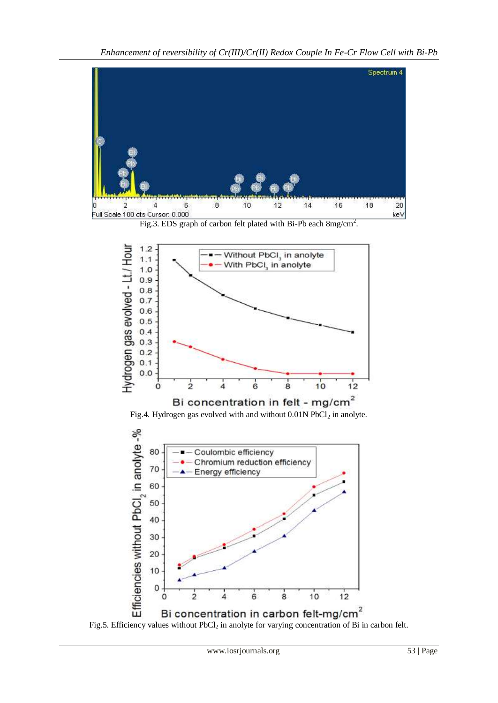

Fig.3. EDS graph of carbon felt plated with Bi-Pb each  $8mg/cm^2$ .